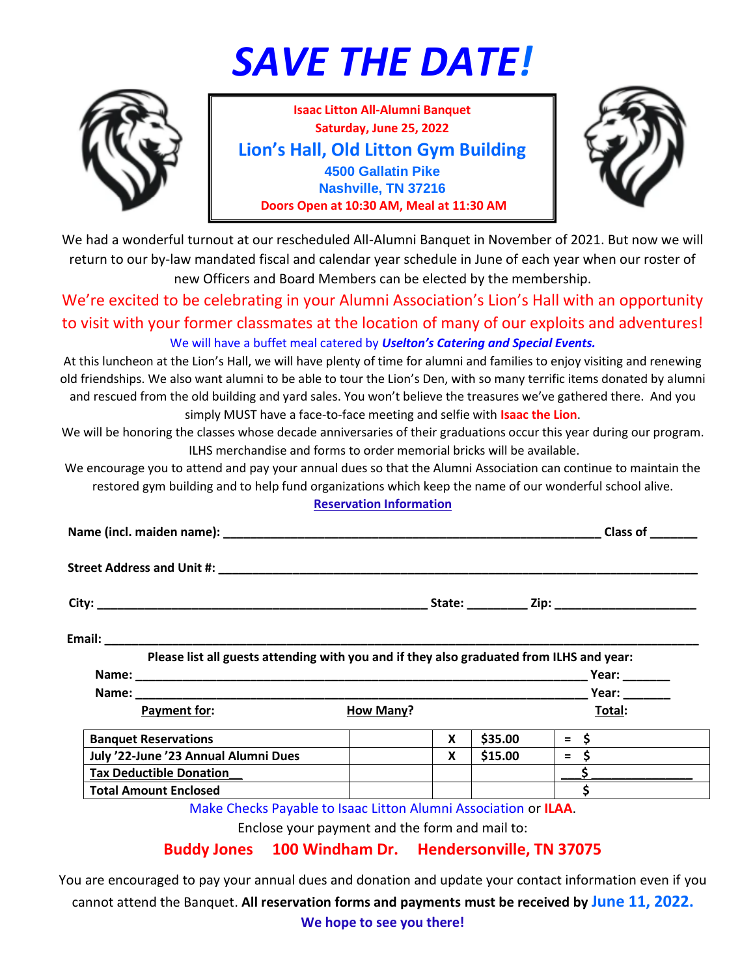## *SAVE THE DATE!*



**Isaac Litton All-Alumni Banquet Saturday, June 25, 2022 Lion's Hall, Old Litton Gym Building 4500 Gallatin Pike Nashville, TN 37216 Doors Open at 10:30 AM, Meal at 11:30 AM**



We had a wonderful turnout at our rescheduled All-Alumni Banquet in November of 2021. But now we will return to our by-law mandated fiscal and calendar year schedule in June of each year when our roster of new Officers and Board Members can be elected by the membership.

We're excited to be celebrating in your Alumni Association's Lion's Hall with an opportunity to visit with your former classmates at the location of many of our exploits and adventures! We will have a buffet meal catered by *Uselton's Catering and Special Events.*

At this luncheon at the Lion's Hall, we will have plenty of time for alumni and families to enjoy visiting and renewing old friendships. We also want alumni to be able to tour the Lion's Den, with so many terrific items donated by alumni and rescued from the old building and yard sales. You won't believe the treasures we've gathered there. And you simply MUST have a face-to-face meeting and selfie with **Isaac the Lion**.

We will be honoring the classes whose decade anniversaries of their graduations occur this year during our program. ILHS merchandise and forms to order memorial bricks will be available.

We encourage you to attend and pay your annual dues so that the Alumni Association can continue to maintain the restored gym building and to help fund organizations which keep the name of our wonderful school alive.

## **Reservation Information**

|                                                                                                                     | Street Address and Unit #: \\comes\\comes\\comes\\comes\\comes\\comes\\comes\\comes\\comes\\comes\\comes\\comes\\comes\\comes\\comes\\comes\\comes\\comes\\comes\\comes\\comes\\comes\\comes\\comes\\comes\\comes\\comes\\come |                  |          |         |           |
|---------------------------------------------------------------------------------------------------------------------|--------------------------------------------------------------------------------------------------------------------------------------------------------------------------------------------------------------------------------|------------------|----------|---------|-----------|
|                                                                                                                     |                                                                                                                                                                                                                                |                  |          |         |           |
|                                                                                                                     |                                                                                                                                                                                                                                |                  |          |         |           |
|                                                                                                                     | Please list all guests attending with you and if they also graduated from ILHS and year:                                                                                                                                       |                  |          |         |           |
|                                                                                                                     |                                                                                                                                                                                                                                |                  |          |         |           |
|                                                                                                                     |                                                                                                                                                                                                                                |                  |          |         |           |
|                                                                                                                     | Payment for:                                                                                                                                                                                                                   | <b>How Many?</b> |          |         | Total:    |
|                                                                                                                     | <b>Banquet Reservations</b>                                                                                                                                                                                                    |                  | <b>X</b> | \$35.00 | $=$ \$ __ |
| July '22-June '23 Annual Alumni Dues                                                                                |                                                                                                                                                                                                                                |                  | <b>X</b> | \$15.00 | $=$ \$    |
| Tax Deductible Donation<br><br><br><br><br><br><br><br><br><br><br><br><br><br><br><br><br><br><br><br><br><br><br> |                                                                                                                                                                                                                                |                  |          |         |           |
| <b>Total Amount Enclosed</b>                                                                                        |                                                                                                                                                                                                                                |                  |          |         | Ś         |
|                                                                                                                     | Make Checks Payable to Isaac Litton Alumni Association or ILAA.                                                                                                                                                                |                  |          |         |           |

Enclose your payment and the form and mail to:

## **Buddy Jones 100 Windham Dr. Hendersonville, TN 37075**

You are encouraged to pay your annual dues and donation and update your contact information even if you cannot attend the Banquet. **All reservation forms and payments must be received by June 11, 2022.**

**We hope to see you there!**